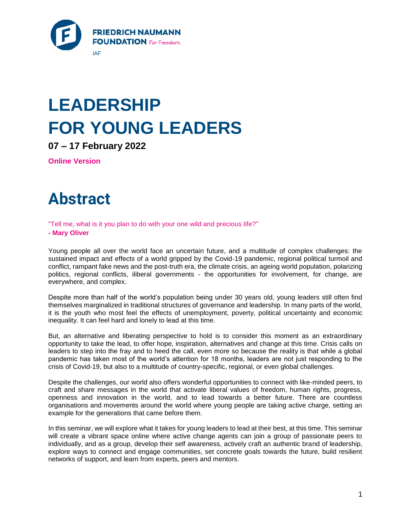

# **LEADERSHIP FOR YOUNG LEADERS**

**07 – 17 February 2022**

**Online Version**

## **Abstract**

"Tell me, what is it you plan to do with your one wild and precious life?"

#### **- Mary Oliver**

Young people all over the world face an uncertain future, and a multitude of complex challenges: the sustained impact and effects of a world gripped by the Covid-19 pandemic, regional political turmoil and conflict, rampant fake news and the post-truth era, the climate crisis, an ageing world population, polarizing politics, regional conflicts, iliberal governments - the opportunities for involvement, for change, are everywhere, and complex.

Despite more than half of the world's population being under 30 years old, young leaders still often find themselves marginalized in traditional structures of governance and leadership. In many parts of the world, it is the youth who most feel the effects of unemployment, poverty, political uncertainty and economic inequality. It can feel hard and lonely to lead at this time.

But, an alternative and liberating perspective to hold is to consider this moment as an extraordinary opportunity to take the lead, to offer hope, inspiration, alternatives and change at this time. Crisis calls on leaders to step into the fray and to heed the call, even more so because the reality is that while a global pandemic has taken most of the world's attention for 18 months, leaders are not just responding to the crisis of Covid-19, but also to a multitude of country-specific, regional, or even global challenges.

Despite the challenges, our world also offers wonderful opportunities to connect with like-minded peers, to craft and share messages in the world that activate liberal values of freedom, human rights, progress, openness and innovation in the world, and to lead towards a better future. There are countless organisations and movements around the world where young people are taking active charge, setting an example for the generations that came before them.

In this seminar, we will explore what it takes for young leaders to lead at their best, at this time. This seminar will create a vibrant space online where active change agents can join a group of passionate peers to individually, and as a group, develop their self awareness, actively craft an authentic brand of leadership, explore ways to connect and engage communities, set concrete goals towards the future, build resilient networks of support, and learn from experts, peers and mentors.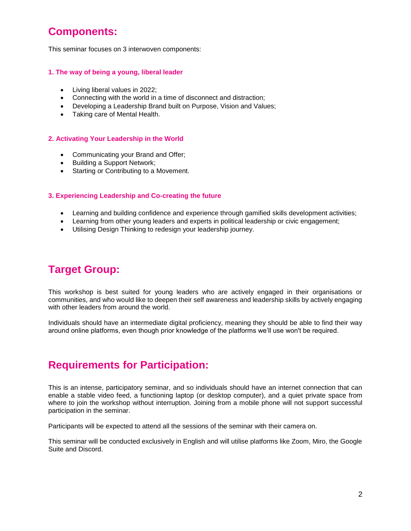### **Components:**

This seminar focuses on 3 interwoven components:

### **1. The way of being a young, liberal leader**

- Living liberal values in 2022;
- Connecting with the world in a time of disconnect and distraction;
- Developing a Leadership Brand built on Purpose, Vision and Values;
- Taking care of Mental Health.

### **2. Activating Your Leadership in the World**

- Communicating your Brand and Offer;
- Building a Support Network;
- Starting or Contributing to a Movement.

### **3. Experiencing Leadership and Co-creating the future**

- Learning and building confidence and experience through gamified skills development activities;
- Learning from other young leaders and experts in political leadership or civic engagement;
- Utilising Design Thinking to redesign your leadership journey.

### **Target Group:**

This workshop is best suited for young leaders who are actively engaged in their organisations or communities, and who would like to deepen their self awareness and leadership skills by actively engaging with other leaders from around the world.

Individuals should have an intermediate digital proficiency, meaning they should be able to find their way around online platforms, even though prior knowledge of the platforms we'll use won't be required.

### **Requirements for Participation:**

This is an intense, participatory seminar, and so individuals should have an internet connection that can enable a stable video feed, a functioning laptop (or desktop computer), and a quiet private space from where to join the workshop without interruption. Joining from a mobile phone will not support successful participation in the seminar.

Participants will be expected to attend all the sessions of the seminar with their camera on.

This seminar will be conducted exclusively in English and will utilise platforms like Zoom, Miro, the Google Suite and Discord.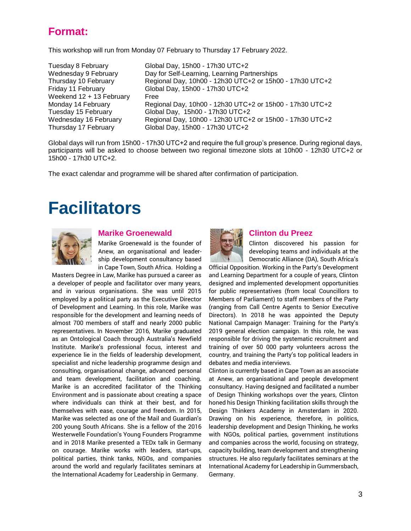### **Format:**

This workshop will run from Monday 07 February to Thursday 17 February 2022.

| Tuesday 8 February       | Global Day, 15h00 - 17h30 UTC+2                          |
|--------------------------|----------------------------------------------------------|
| Wednesday 9 February     | Day for Self-Learning, Learning Partnerships             |
| Thursday 10 February     | Regional Day, 10h00 - 12h30 UTC+2 or 15h00 - 17h30 UTC+2 |
| Friday 11 February       | Global Day, 15h00 - 17h30 UTC+2                          |
| Weekend 12 + 13 February | Free                                                     |
| Monday 14 February       | Regional Day, 10h00 - 12h30 UTC+2 or 15h00 - 17h30 UTC+2 |
| Tuesday 15 February      | Global Day, 15h00 - 17h30 UTC+2                          |
| Wednesday 16 February    | Regional Day, 10h00 - 12h30 UTC+2 or 15h00 - 17h30 UTC+2 |
| Thursday 17 February     | Global Day, 15h00 - 17h30 UTC+2                          |

Global days will run from 15h00 - 17h30 UTC+2 and require the full group's presence. During regional days, participants will be asked to choose between two regional timezone slots at 10h00 - 12h30 UTC+2 or 15h00 - 17h30 UTC+2.

The exact calendar and programme will be shared after confirmation of participation.

## **Facilitators**



### **Marike Groenewald**

Marike Groenewald is the founder of Anew, an organisational and leadership development consultancy based in Cape Town, South Africa. Holding a

Masters Degree in Law, Marike has pursued a career as a developer of people and facilitator over many years, and in various organisations. She was until 2015 employed by a political party as the Executive Director of Development and Learning. In this role, Marike was responsible for the development and learning needs of almost 700 members of staff and nearly 2000 public representatives. In November 2016, Marike graduated as an [Ontological Coach through Australia's Newfield](http://www.newfieldinstitute.com.au/html/ontological_coaching.html)  [Institute.](http://www.newfieldinstitute.com.au/html/ontological_coaching.html) Marike's professional focus, interest and experience lie in the fields of leadership development, specialist and niche leadership programme design and consulting, organisational change, advanced personal and team development, facilitation and coaching. Marike is an accredited facilitator of the [Thinking](http://www.timetothink.com/)  [Environment](http://www.timetothink.com/) and is passionate about creating a space where individuals can think at their best, and for themselves with ease, courage and freedom. In 2015, Marike was selected as one of th[e Mail and Guardian's](http://200ysa.mg.co.za/2015/blog/marike-groenewald/)  [200 young South Africans.](http://200ysa.mg.co.za/2015/blog/marike-groenewald/) She is a fellow of the [2016](http://westerwelle-foundation.com/en/events/review/young-founders-conference-2016/)  [Westerwelle Foundation's Young Founders Programme](http://westerwelle-foundation.com/en/events/review/young-founders-conference-2016/) and in 2018 Marike presented a TEDx talk in Germany on [courage.](http://www.youtube.com/watch?v=JQvHd52k_A4) Marike works with leaders, start-ups, political parties, think tanks, NGOs, and companies around the world and regularly facilitates seminars at the International Academy for Leadership in Germany.



### **Clinton du Preez**

Clinton discovered his passion for developing teams and individuals at the Democratic Alliance (DA), South Africa's

Official Opposition. Working in the Party's Development and Learning Department for a couple of years, Clinton designed and implemented development opportunities for public representatives (from local Councillors to Members of Parliament) to staff members of the Party (ranging from Call Centre Agents to Senior Executive Directors). In 2018 he was appointed the Deputy National Campaign Manager: Training for the Party's 2019 general election campaign. In this role, he was responsible for driving the systematic recruitment and training of over 50 000 party volunteers across the country, and training the Party's top political leaders in debates and media interviews.

Clinton is currently based in Cape Town as an associate at Anew, an organisational and people development consultancy. Having designed and facilitated a number of Design Thinking workshops over the years, Clinton honed his Design Thinking facilitation skills through the [Design Thinkers Academy](https://www.designthinkersacademy.com/) in Amsterdam in 2020. Drawing on his experience, therefore, in politics, leadership development and Design Thinking, he works with NGOs, political parties, government institutions and companies across the world, focusing on strategy, capacity building, team development and strengthening structures. He also regularly facilitates seminars at the International Academy for Leadership in Gummersbach, Germany.